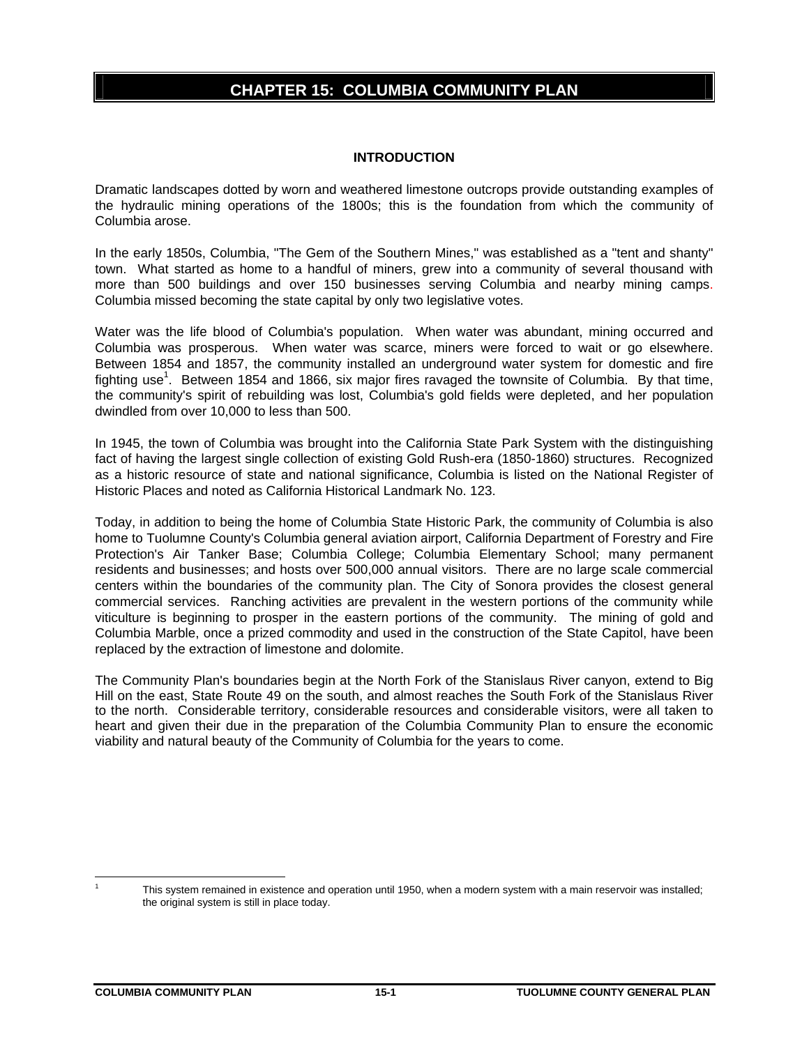# **CHAPTER 15: COLUMBIA COMMUNITY PLAN**

## **INTRODUCTION**

Dramatic landscapes dotted by worn and weathered limestone outcrops provide outstanding examples of the hydraulic mining operations of the 1800s; this is the foundation from which the community of Columbia arose.

In the early 1850s, Columbia, "The Gem of the Southern Mines," was established as a "tent and shanty" town. What started as home to a handful of miners, grew into a community of several thousand with more than 500 buildings and over 150 businesses serving Columbia and nearby mining camps. Columbia missed becoming the state capital by only two legislative votes.

Water was the life blood of Columbia's population. When water was abundant, mining occurred and Columbia was prosperous. When water was scarce, miners were forced to wait or go elsewhere. Between 1854 and 1857, the community installed an underground water system for domestic and fire fighting use<sup>1</sup>. Between 1854 and 1866, six major fires ravaged the townsite of Columbia. By that time, the community's spirit of rebuilding was lost, Columbia's gold fields were depleted, and her population dwindled from over 10,000 to less than 500.

In 1945, the town of Columbia was brought into the California State Park System with the distinguishing fact of having the largest single collection of existing Gold Rush-era (1850-1860) structures. Recognized as a historic resource of state and national significance, Columbia is listed on the National Register of Historic Places and noted as California Historical Landmark No. 123.

Today, in addition to being the home of Columbia State Historic Park, the community of Columbia is also home to Tuolumne County's Columbia general aviation airport, California Department of Forestry and Fire Protection's Air Tanker Base; Columbia College; Columbia Elementary School; many permanent residents and businesses; and hosts over 500,000 annual visitors. There are no large scale commercial centers within the boundaries of the community plan. The City of Sonora provides the closest general commercial services. Ranching activities are prevalent in the western portions of the community while viticulture is beginning to prosper in the eastern portions of the community. The mining of gold and Columbia Marble, once a prized commodity and used in the construction of the State Capitol, have been replaced by the extraction of limestone and dolomite.

The Community Plan's boundaries begin at the North Fork of the Stanislaus River canyon, extend to Big Hill on the east, State Route 49 on the south, and almost reaches the South Fork of the Stanislaus River to the north. Considerable territory, considerable resources and considerable visitors, were all taken to heart and given their due in the preparation of the Columbia Community Plan to ensure the economic viability and natural beauty of the Community of Columbia for the years to come.

 $\overline{a}$ 1

This system remained in existence and operation until 1950, when a modern system with a main reservoir was installed; the original system is still in place today.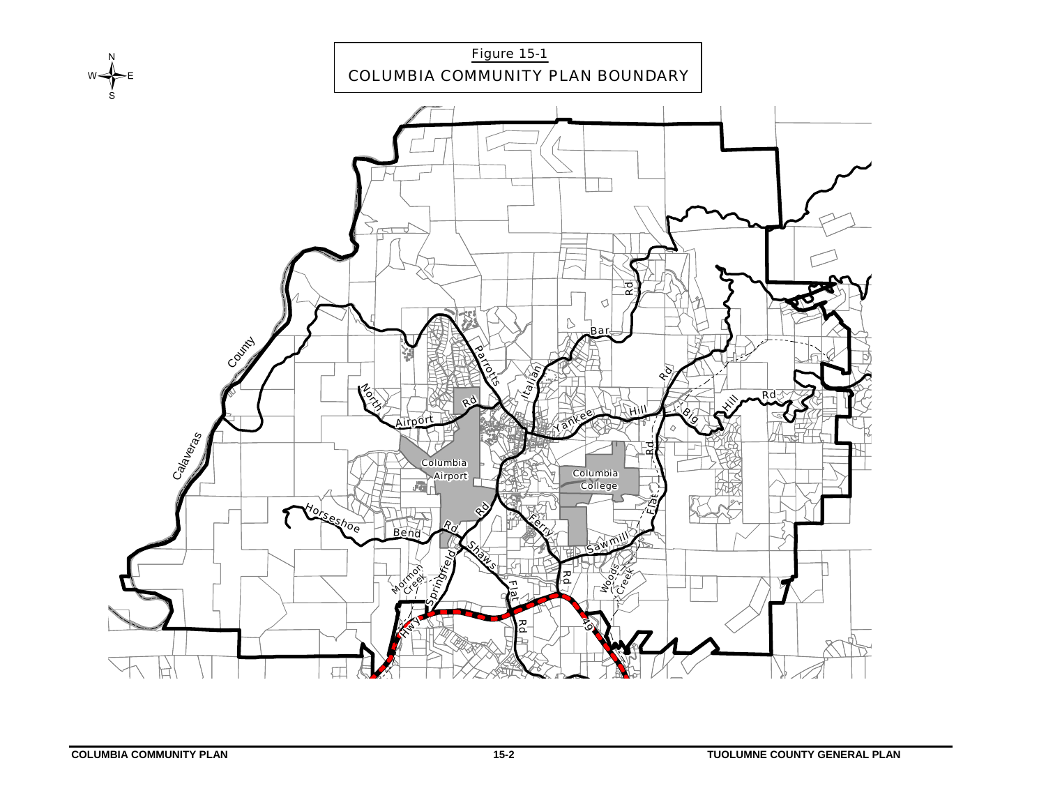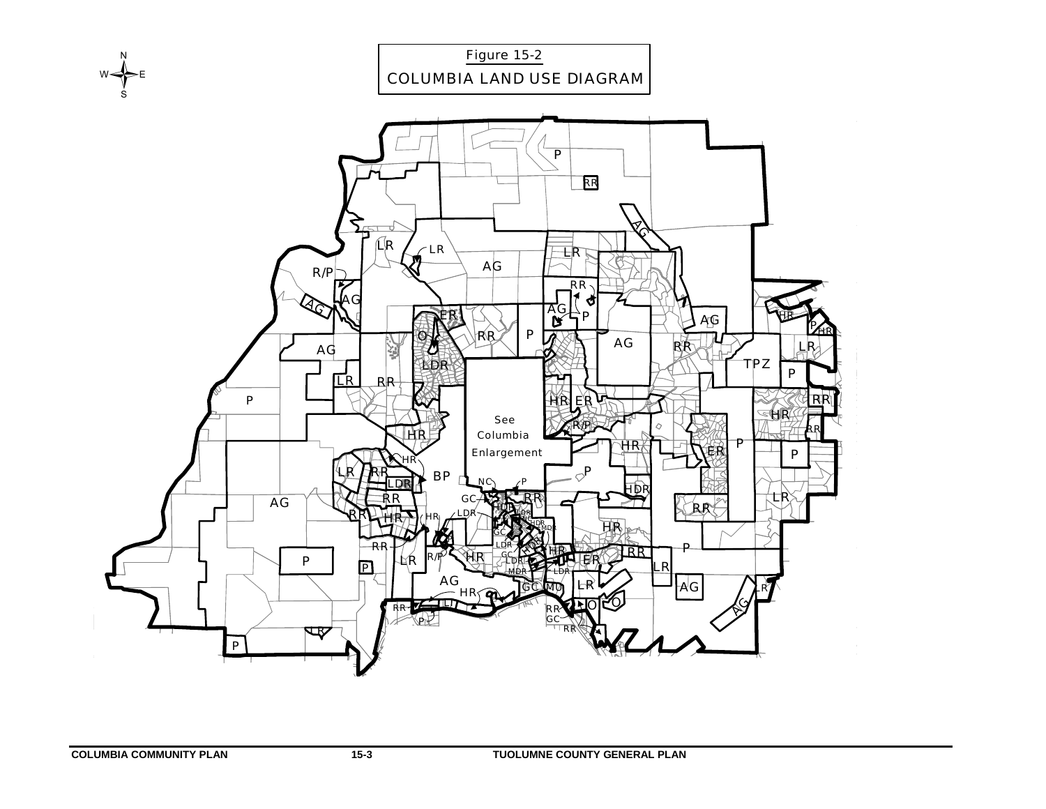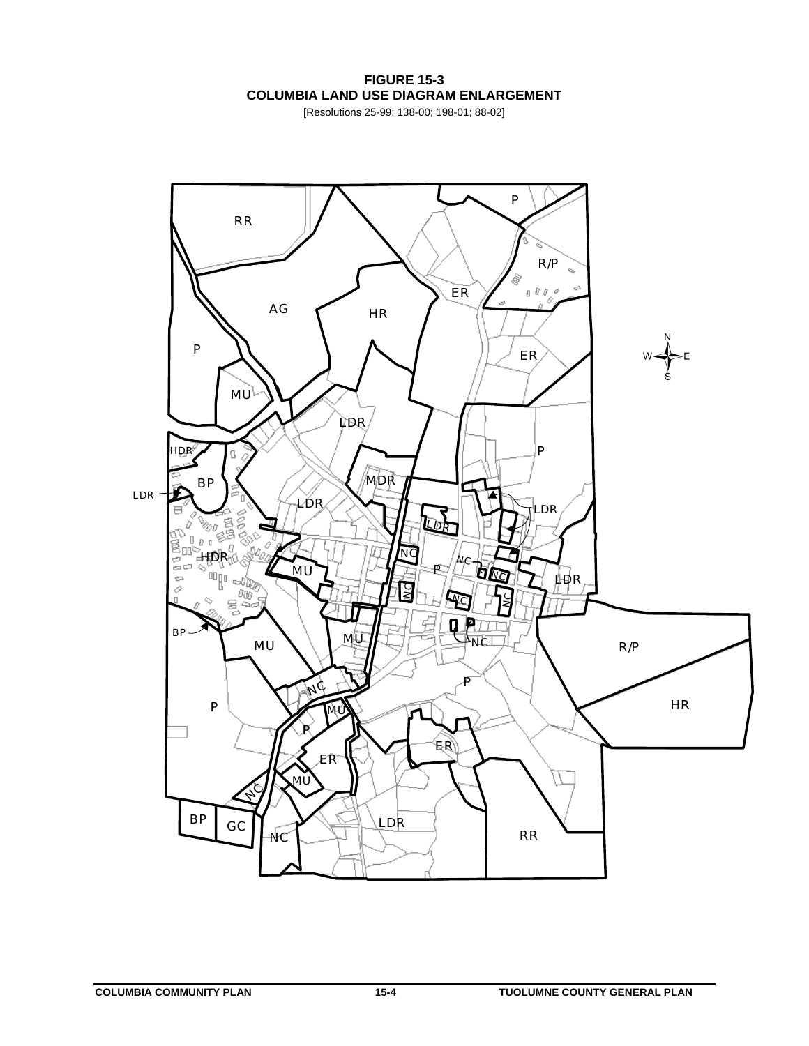**FIGURE 15-3 COLUMBIA LAND USE DIAGRAM ENLARGEMENT** 

[Resolutions 25-99; 138-00; 198-01; 88-02]

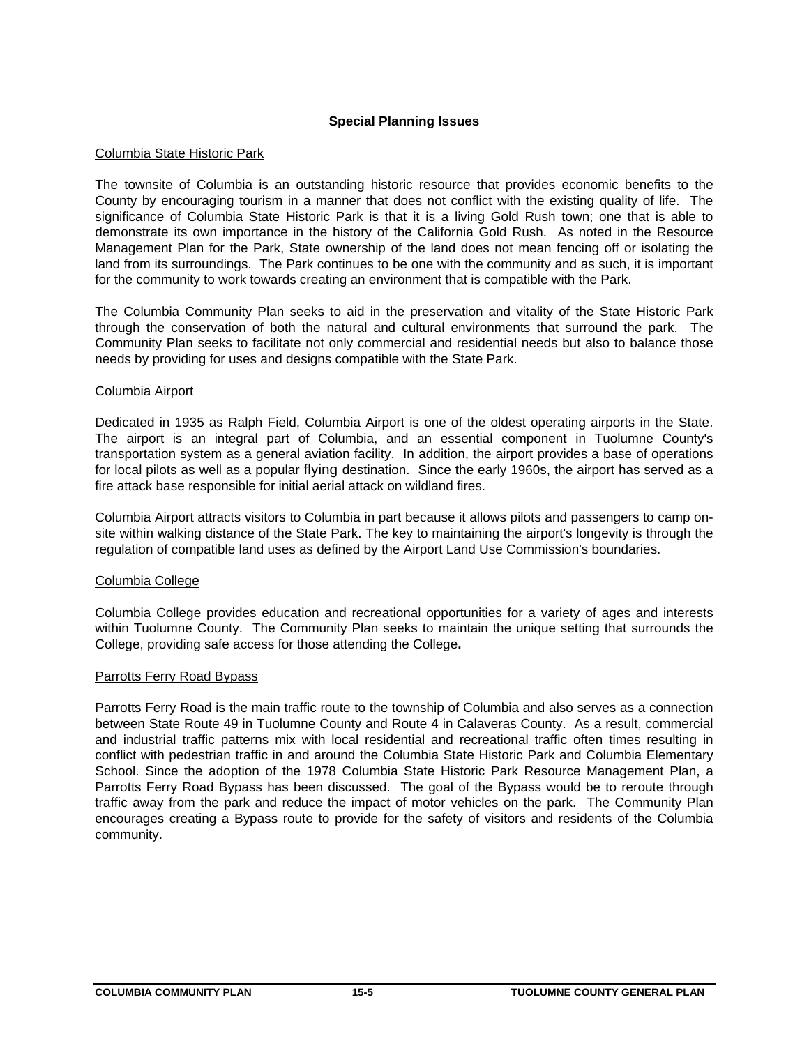# **Special Planning Issues**

## Columbia State Historic Park

The townsite of Columbia is an outstanding historic resource that provides economic benefits to the County by encouraging tourism in a manner that does not conflict with the existing quality of life. The significance of Columbia State Historic Park is that it is a living Gold Rush town; one that is able to demonstrate its own importance in the history of the California Gold Rush. As noted in the Resource Management Plan for the Park, State ownership of the land does not mean fencing off or isolating the land from its surroundings. The Park continues to be one with the community and as such, it is important for the community to work towards creating an environment that is compatible with the Park.

The Columbia Community Plan seeks to aid in the preservation and vitality of the State Historic Park through the conservation of both the natural and cultural environments that surround the park. The Community Plan seeks to facilitate not only commercial and residential needs but also to balance those needs by providing for uses and designs compatible with the State Park.

### Columbia Airport

Dedicated in 1935 as Ralph Field, Columbia Airport is one of the oldest operating airports in the State. The airport is an integral part of Columbia, and an essential component in Tuolumne County's transportation system as a general aviation facility. In addition, the airport provides a base of operations for local pilots as well as a popular flying destination. Since the early 1960s, the airport has served as a fire attack base responsible for initial aerial attack on wildland fires.

Columbia Airport attracts visitors to Columbia in part because it allows pilots and passengers to camp onsite within walking distance of the State Park. The key to maintaining the airport's longevity is through the regulation of compatible land uses as defined by the Airport Land Use Commission's boundaries.

### Columbia College

Columbia College provides education and recreational opportunities for a variety of ages and interests within Tuolumne County. The Community Plan seeks to maintain the unique setting that surrounds the College, providing safe access for those attending the College**.** 

### Parrotts Ferry Road Bypass

Parrotts Ferry Road is the main traffic route to the township of Columbia and also serves as a connection between State Route 49 in Tuolumne County and Route 4 in Calaveras County. As a result, commercial and industrial traffic patterns mix with local residential and recreational traffic often times resulting in conflict with pedestrian traffic in and around the Columbia State Historic Park and Columbia Elementary School. Since the adoption of the 1978 Columbia State Historic Park Resource Management Plan, a Parrotts Ferry Road Bypass has been discussed. The goal of the Bypass would be to reroute through traffic away from the park and reduce the impact of motor vehicles on the park. The Community Plan encourages creating a Bypass route to provide for the safety of visitors and residents of the Columbia community.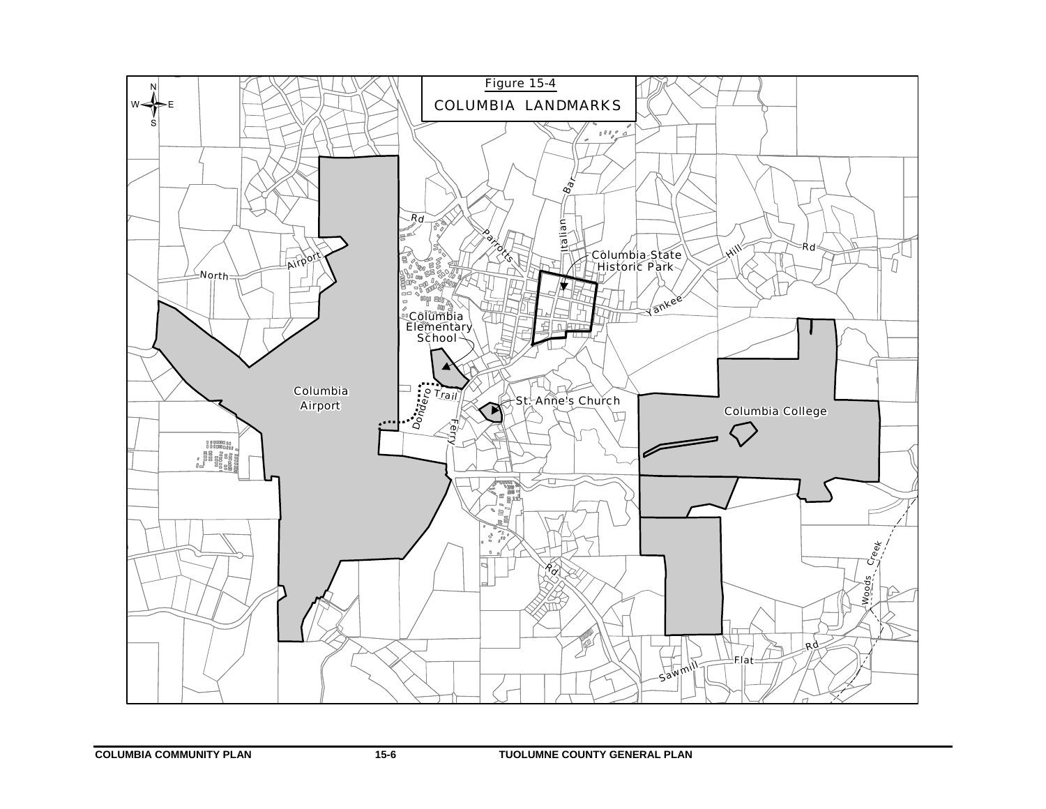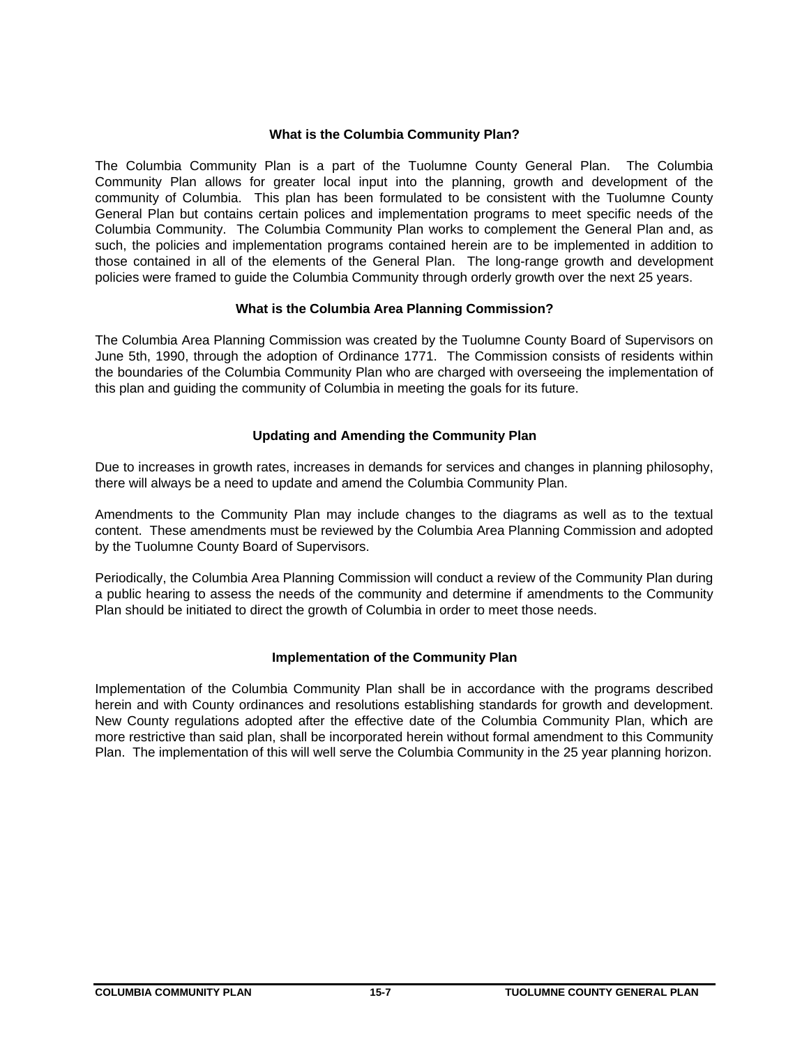# **What is the Columbia Community Plan?**

The Columbia Community Plan is a part of the Tuolumne County General Plan. The Columbia Community Plan allows for greater local input into the planning, growth and development of the community of Columbia. This plan has been formulated to be consistent with the Tuolumne County General Plan but contains certain polices and implementation programs to meet specific needs of the Columbia Community. The Columbia Community Plan works to complement the General Plan and, as such, the policies and implementation programs contained herein are to be implemented in addition to those contained in all of the elements of the General Plan. The long-range growth and development policies were framed to guide the Columbia Community through orderly growth over the next 25 years.

# **What is the Columbia Area Planning Commission?**

The Columbia Area Planning Commission was created by the Tuolumne County Board of Supervisors on June 5th, 1990, through the adoption of Ordinance 1771. The Commission consists of residents within the boundaries of the Columbia Community Plan who are charged with overseeing the implementation of this plan and guiding the community of Columbia in meeting the goals for its future.

# **Updating and Amending the Community Plan**

Due to increases in growth rates, increases in demands for services and changes in planning philosophy, there will always be a need to update and amend the Columbia Community Plan.

Amendments to the Community Plan may include changes to the diagrams as well as to the textual content. These amendments must be reviewed by the Columbia Area Planning Commission and adopted by the Tuolumne County Board of Supervisors.

Periodically, the Columbia Area Planning Commission will conduct a review of the Community Plan during a public hearing to assess the needs of the community and determine if amendments to the Community Plan should be initiated to direct the growth of Columbia in order to meet those needs.

# **Implementation of the Community Plan**

Implementation of the Columbia Community Plan shall be in accordance with the programs described herein and with County ordinances and resolutions establishing standards for growth and development. New County regulations adopted after the effective date of the Columbia Community Plan, which are more restrictive than said plan, shall be incorporated herein without formal amendment to this Community Plan. The implementation of this will well serve the Columbia Community in the 25 year planning horizon.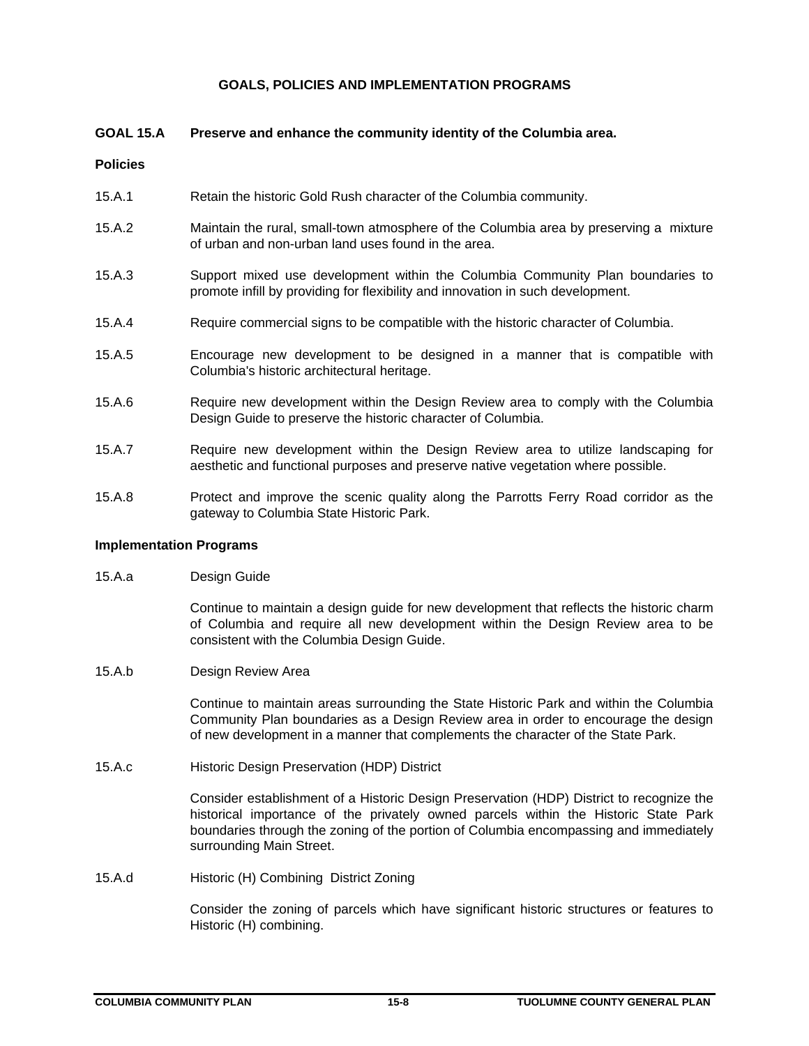### **GOALS, POLICIES AND IMPLEMENTATION PROGRAMS**

### **GOAL 15.A Preserve and enhance the community identity of the Columbia area.**

### **Policies**

- 15.A.1 Retain the historic Gold Rush character of the Columbia community.
- 15.A.2 Maintain the rural, small-town atmosphere of the Columbia area by preserving a mixture of urban and non-urban land uses found in the area.
- 15.A.3 Support mixed use development within the Columbia Community Plan boundaries to promote infill by providing for flexibility and innovation in such development.
- 15.A.4 Require commercial signs to be compatible with the historic character of Columbia.
- 15.A.5 Encourage new development to be designed in a manner that is compatible with Columbia's historic architectural heritage.
- 15.A.6 Require new development within the Design Review area to comply with the Columbia Design Guide to preserve the historic character of Columbia.
- 15.A.7 Require new development within the Design Review area to utilize landscaping for aesthetic and functional purposes and preserve native vegetation where possible.
- 15.A.8 Protect and improve the scenic quality along the Parrotts Ferry Road corridor as the gateway to Columbia State Historic Park.

### **Implementation Programs**

15.A.a Design Guide

Continue to maintain a design guide for new development that reflects the historic charm of Columbia and require all new development within the Design Review area to be consistent with the Columbia Design Guide.

15.A.b Design Review Area

Continue to maintain areas surrounding the State Historic Park and within the Columbia Community Plan boundaries as a Design Review area in order to encourage the design of new development in a manner that complements the character of the State Park.

15.A.c Historic Design Preservation (HDP) District

Consider establishment of a Historic Design Preservation (HDP) District to recognize the historical importance of the privately owned parcels within the Historic State Park boundaries through the zoning of the portion of Columbia encompassing and immediately surrounding Main Street.

15.A.d Historic (H) Combining District Zoning

Consider the zoning of parcels which have significant historic structures or features to Historic (H) combining.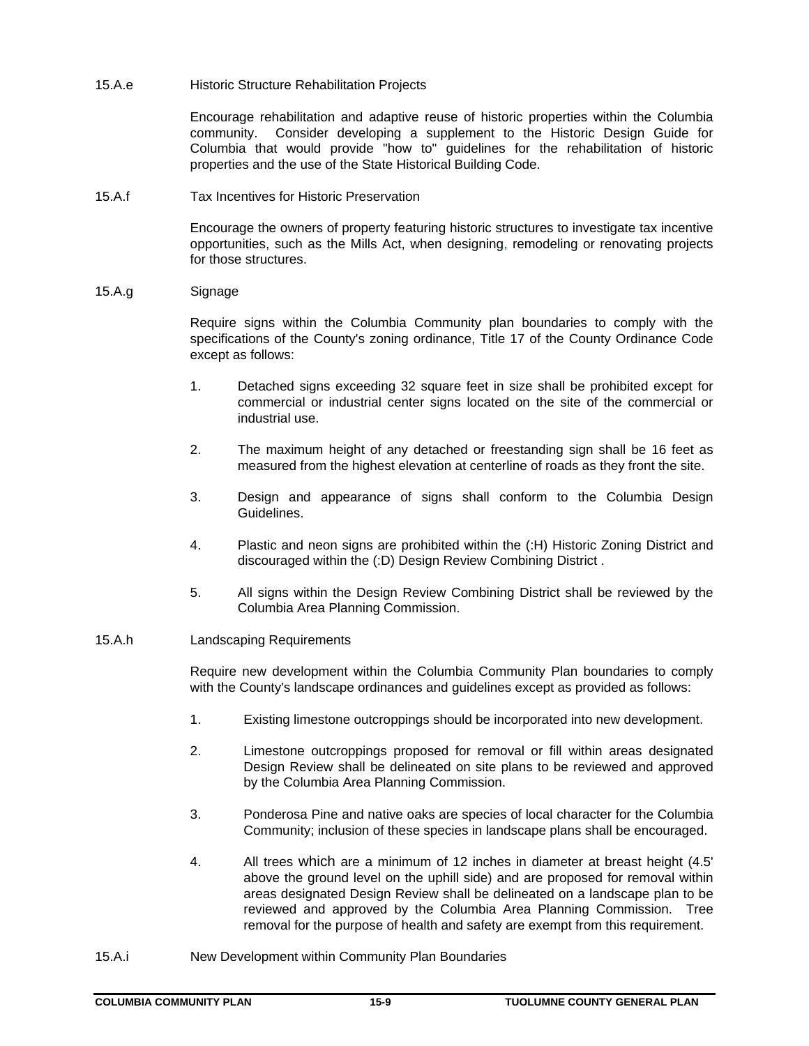15.A.e Historic Structure Rehabilitation Projects

Encourage rehabilitation and adaptive reuse of historic properties within the Columbia community. Consider developing a supplement to the Historic Design Guide for Columbia that would provide "how to" guidelines for the rehabilitation of historic properties and the use of the State Historical Building Code.

15.A.f Tax Incentives for Historic Preservation

Encourage the owners of property featuring historic structures to investigate tax incentive opportunities, such as the Mills Act, when designing, remodeling or renovating projects for those structures.

15.A.g Signage

Require signs within the Columbia Community plan boundaries to comply with the specifications of the County's zoning ordinance, Title 17 of the County Ordinance Code except as follows:

- 1. Detached signs exceeding 32 square feet in size shall be prohibited except for commercial or industrial center signs located on the site of the commercial or industrial use.
- 2. The maximum height of any detached or freestanding sign shall be 16 feet as measured from the highest elevation at centerline of roads as they front the site.
- 3. Design and appearance of signs shall conform to the Columbia Design Guidelines.
- 4. Plastic and neon signs are prohibited within the (:H) Historic Zoning District and discouraged within the (:D) Design Review Combining District .
- 5. All signs within the Design Review Combining District shall be reviewed by the Columbia Area Planning Commission.
- 15.A.h Landscaping Requirements

Require new development within the Columbia Community Plan boundaries to comply with the County's landscape ordinances and guidelines except as provided as follows:

- 1. Existing limestone outcroppings should be incorporated into new development.
- 2. Limestone outcroppings proposed for removal or fill within areas designated Design Review shall be delineated on site plans to be reviewed and approved by the Columbia Area Planning Commission.
- 3. Ponderosa Pine and native oaks are species of local character for the Columbia Community; inclusion of these species in landscape plans shall be encouraged.
- 4. All trees which are a minimum of 12 inches in diameter at breast height (4.5' above the ground level on the uphill side) and are proposed for removal within areas designated Design Review shall be delineated on a landscape plan to be reviewed and approved by the Columbia Area Planning Commission. Tree removal for the purpose of health and safety are exempt from this requirement.
- 15.A.i New Development within Community Plan Boundaries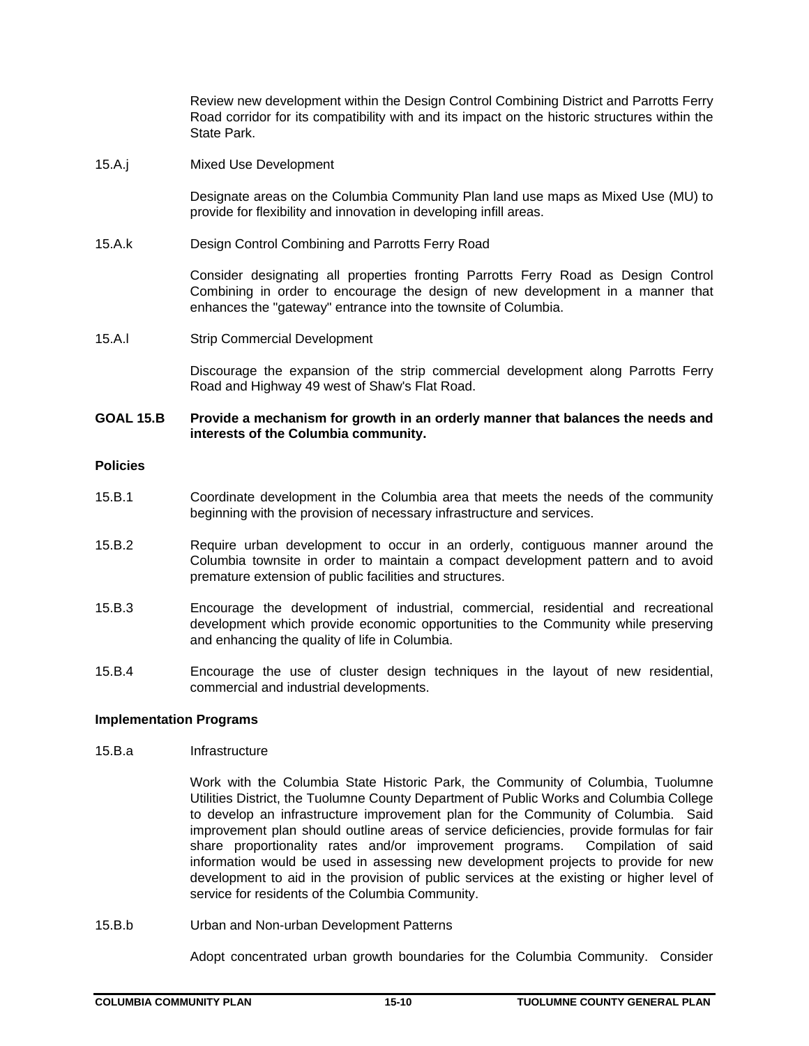Review new development within the Design Control Combining District and Parrotts Ferry Road corridor for its compatibility with and its impact on the historic structures within the State Park.

15.A.j Mixed Use Development

Designate areas on the Columbia Community Plan land use maps as Mixed Use (MU) to provide for flexibility and innovation in developing infill areas.

15.A.k Design Control Combining and Parrotts Ferry Road

Consider designating all properties fronting Parrotts Ferry Road as Design Control Combining in order to encourage the design of new development in a manner that enhances the "gateway" entrance into the townsite of Columbia.

15.A.l Strip Commercial Development

Discourage the expansion of the strip commercial development along Parrotts Ferry Road and Highway 49 west of Shaw's Flat Road.

### **GOAL 15.B Provide a mechanism for growth in an orderly manner that balances the needs and interests of the Columbia community.**

# **Policies**

- 15.B.1 Coordinate development in the Columbia area that meets the needs of the community beginning with the provision of necessary infrastructure and services.
- 15.B.2 Require urban development to occur in an orderly, contiguous manner around the Columbia townsite in order to maintain a compact development pattern and to avoid premature extension of public facilities and structures.
- 15.B.3 Encourage the development of industrial, commercial, residential and recreational development which provide economic opportunities to the Community while preserving and enhancing the quality of life in Columbia.
- 15.B.4 Encourage the use of cluster design techniques in the layout of new residential, commercial and industrial developments.

### **Implementation Programs**

### 15.B.a Infrastructure

 Work with the Columbia State Historic Park, the Community of Columbia, Tuolumne Utilities District, the Tuolumne County Department of Public Works and Columbia College to develop an infrastructure improvement plan for the Community of Columbia. Said improvement plan should outline areas of service deficiencies, provide formulas for fair share proportionality rates and/or improvement programs. Compilation of said information would be used in assessing new development projects to provide for new development to aid in the provision of public services at the existing or higher level of service for residents of the Columbia Community.

15.B.b Urban and Non-urban Development Patterns

Adopt concentrated urban growth boundaries for the Columbia Community. Consider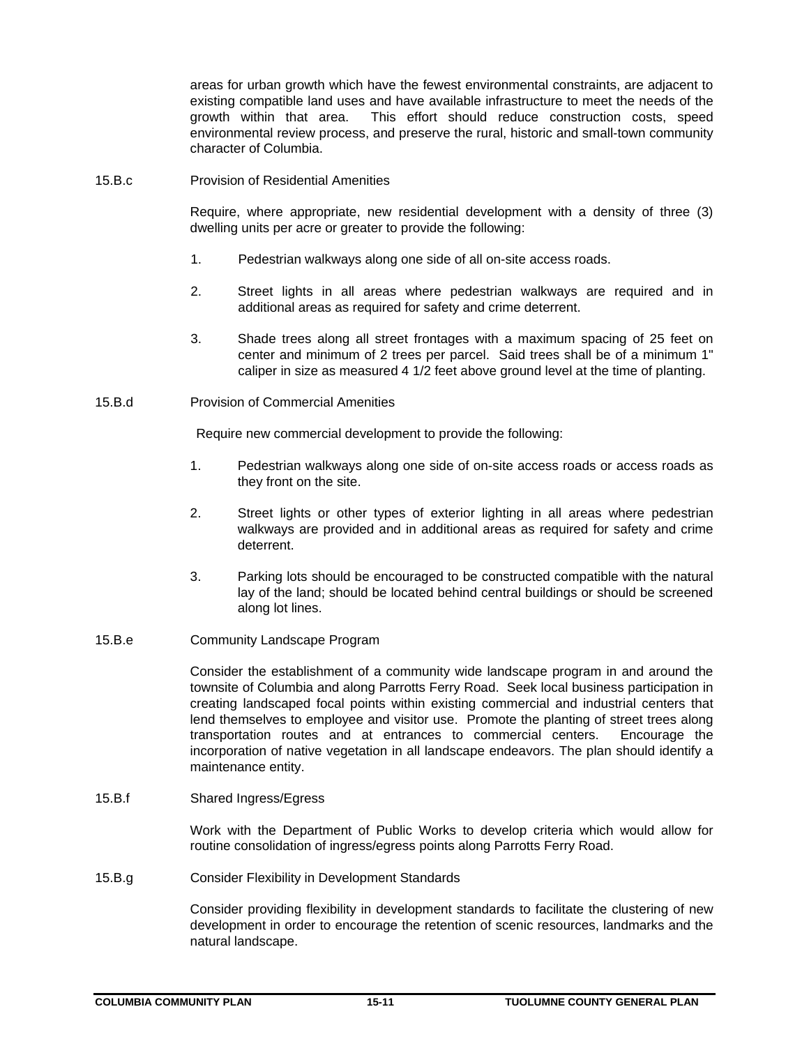areas for urban growth which have the fewest environmental constraints, are adjacent to existing compatible land uses and have available infrastructure to meet the needs of the growth within that area. This effort should reduce construction costs, speed environmental review process, and preserve the rural, historic and small-town community character of Columbia.

15.B.c Provision of Residential Amenities

Require, where appropriate, new residential development with a density of three (3) dwelling units per acre or greater to provide the following:

- 1. Pedestrian walkways along one side of all on-site access roads.
- 2. Street lights in all areas where pedestrian walkways are required and in additional areas as required for safety and crime deterrent.
- 3. Shade trees along all street frontages with a maximum spacing of 25 feet on center and minimum of 2 trees per parcel. Said trees shall be of a minimum 1" caliper in size as measured 4 1/2 feet above ground level at the time of planting.

# 15.B.d Provision of Commercial Amenities

Require new commercial development to provide the following:

- 1. Pedestrian walkways along one side of on-site access roads or access roads as they front on the site.
- 2. Street lights or other types of exterior lighting in all areas where pedestrian walkways are provided and in additional areas as required for safety and crime deterrent.
- 3. Parking lots should be encouraged to be constructed compatible with the natural lay of the land; should be located behind central buildings or should be screened along lot lines.
- 15.B.e Community Landscape Program

Consider the establishment of a community wide landscape program in and around the townsite of Columbia and along Parrotts Ferry Road. Seek local business participation in creating landscaped focal points within existing commercial and industrial centers that lend themselves to employee and visitor use. Promote the planting of street trees along transportation routes and at entrances to commercial centers. Encourage the incorporation of native vegetation in all landscape endeavors. The plan should identify a maintenance entity.

15.B.f Shared Ingress/Egress

Work with the Department of Public Works to develop criteria which would allow for routine consolidation of ingress/egress points along Parrotts Ferry Road.

15.B.g Consider Flexibility in Development Standards

Consider providing flexibility in development standards to facilitate the clustering of new development in order to encourage the retention of scenic resources, landmarks and the natural landscape.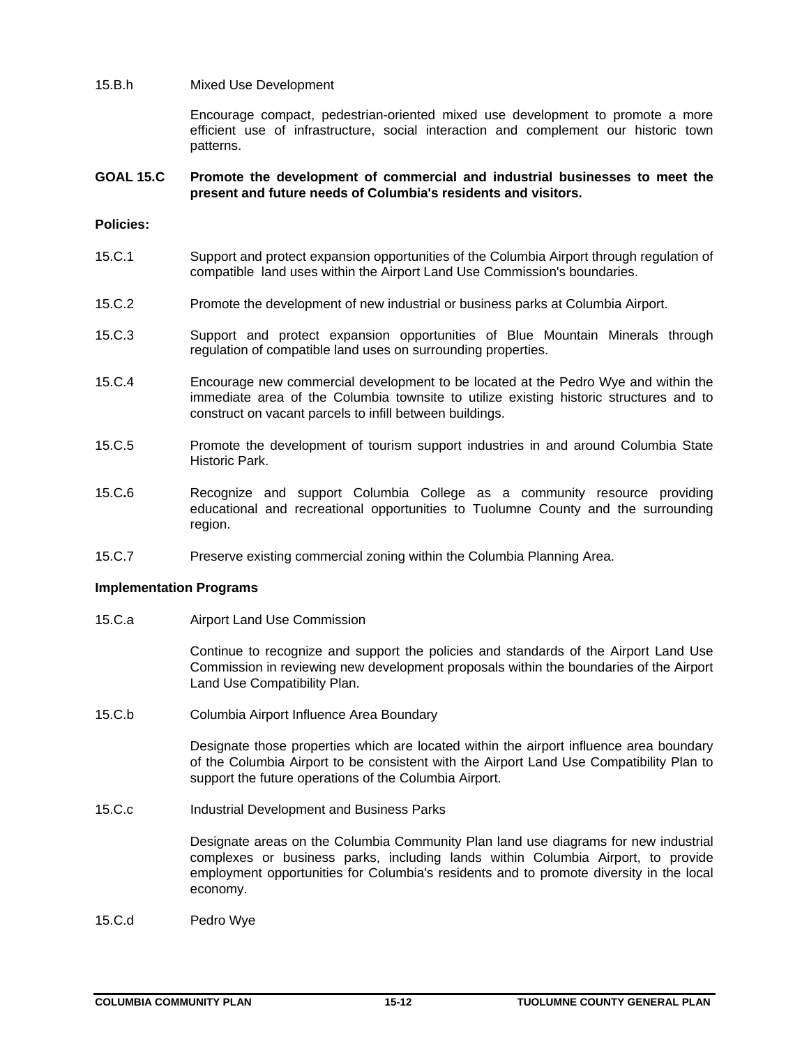### 15.B.h Mixed Use Development

 Encourage compact, pedestrian-oriented mixed use development to promote a more efficient use of infrastructure, social interaction and complement our historic town patterns.

### **GOAL 15.C Promote the development of commercial and industrial businesses to meet the present and future needs of Columbia's residents and visitors.**

### **Policies:**

- 15.C.1 Support and protect expansion opportunities of the Columbia Airport through regulation of compatible land uses within the Airport Land Use Commission's boundaries.
- 15.C.2 Promote the development of new industrial or business parks at Columbia Airport.
- 15.C.3 Support and protect expansion opportunities of Blue Mountain Minerals through regulation of compatible land uses on surrounding properties.
- 15.C.4 Encourage new commercial development to be located at the Pedro Wye and within the immediate area of the Columbia townsite to utilize existing historic structures and to construct on vacant parcels to infill between buildings.
- 15.C.5 Promote the development of tourism support industries in and around Columbia State Historic Park.
- 15.C**.**6 Recognize and support Columbia College as a community resource providing educational and recreational opportunities to Tuolumne County and the surrounding region.
- 15.C.7 Preserve existing commercial zoning within the Columbia Planning Area.

### **Implementation Programs**

15.C.a Airport Land Use Commission

Continue to recognize and support the policies and standards of the Airport Land Use Commission in reviewing new development proposals within the boundaries of the Airport Land Use Compatibility Plan.

15.C.b Columbia Airport Influence Area Boundary

Designate those properties which are located within the airport influence area boundary of the Columbia Airport to be consistent with the Airport Land Use Compatibility Plan to support the future operations of the Columbia Airport.

15.C.c Industrial Development and Business Parks

Designate areas on the Columbia Community Plan land use diagrams for new industrial complexes or business parks, including lands within Columbia Airport, to provide employment opportunities for Columbia's residents and to promote diversity in the local economy.

15.C.d Pedro Wye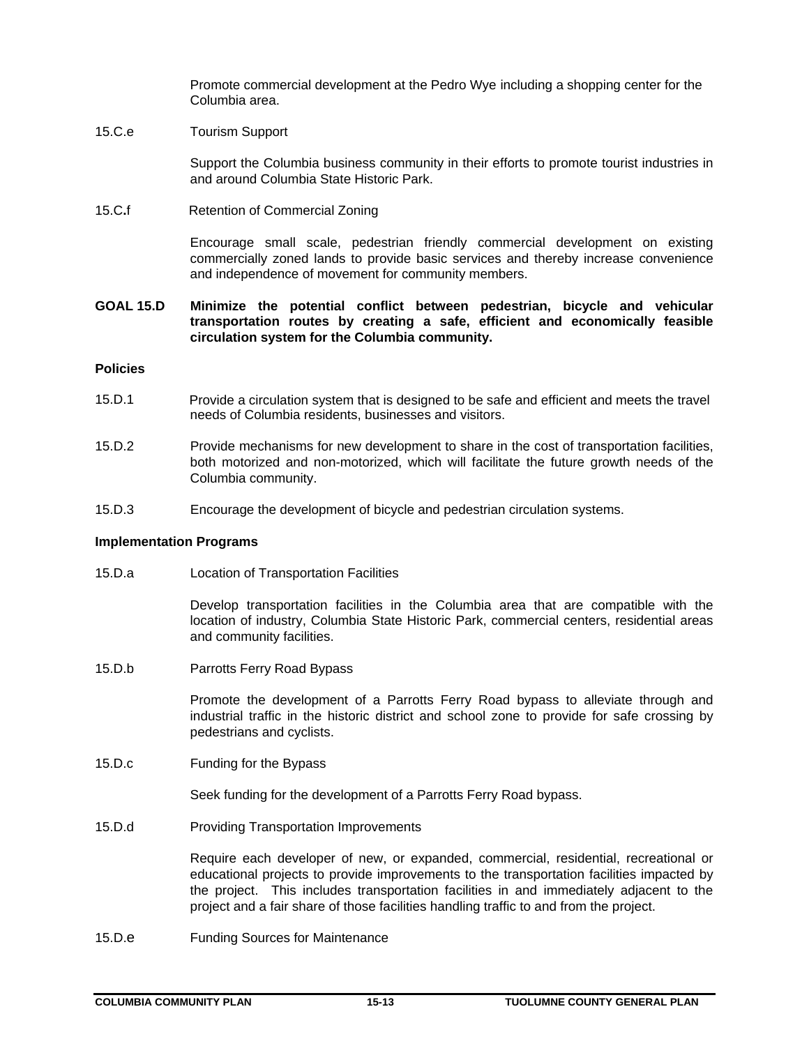Promote commercial development at the Pedro Wye including a shopping center for the Columbia area.

## 15.C.e Tourism Support

Support the Columbia business community in their efforts to promote tourist industries in and around Columbia State Historic Park.

15.C**.**fRetention of Commercial Zoning

Encourage small scale, pedestrian friendly commercial development on existing commercially zoned lands to provide basic services and thereby increase convenience and independence of movement for community members.

## **GOAL 15.D Minimize the potential conflict between pedestrian, bicycle and vehicular transportation routes by creating a safe, efficient and economically feasible circulation system for the Columbia community.**

### **Policies**

- 15.D.1 Provide a circulation system that is designed to be safe and efficient and meets the travel needs of Columbia residents, businesses and visitors.
- 15.D.2 Provide mechanisms for new development to share in the cost of transportation facilities, both motorized and non-motorized, which will facilitate the future growth needs of the Columbia community.
- 15.D.3 Encourage the development of bicycle and pedestrian circulation systems.

### **Implementation Programs**

15.D.a Location of Transportation Facilities

 Develop transportation facilities in the Columbia area that are compatible with the location of industry, Columbia State Historic Park, commercial centers, residential areas and community facilities.

15.D.b Parrotts Ferry Road Bypass

Promote the development of a Parrotts Ferry Road bypass to alleviate through and industrial traffic in the historic district and school zone to provide for safe crossing by pedestrians and cyclists.

15.D.c Funding for the Bypass

Seek funding for the development of a Parrotts Ferry Road bypass.

15.D.d Providing Transportation Improvements

Require each developer of new, or expanded, commercial, residential, recreational or educational projects to provide improvements to the transportation facilities impacted by the project. This includes transportation facilities in and immediately adjacent to the project and a fair share of those facilities handling traffic to and from the project.

15.D.e Funding Sources for Maintenance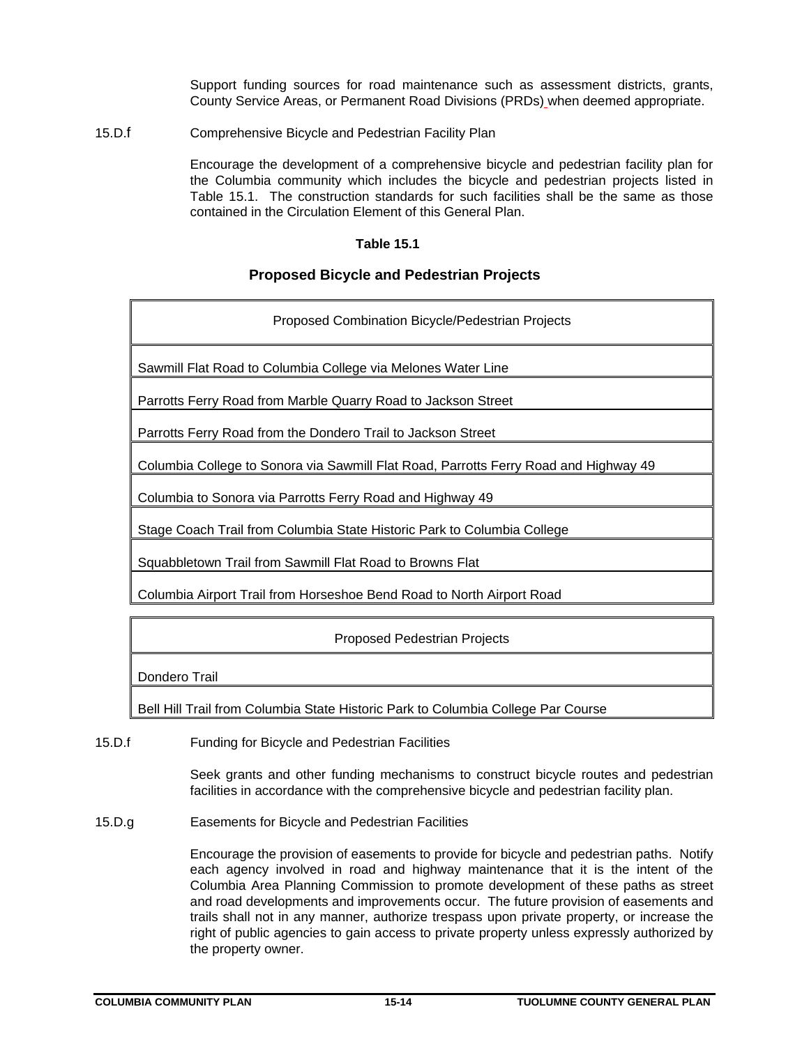Support funding sources for road maintenance such as assessment districts, grants, County Service Areas, or Permanent Road Divisions (PRDs) when deemed appropriate.

15.D.f Comprehensive Bicycle and Pedestrian Facility Plan

Encourage the development of a comprehensive bicycle and pedestrian facility plan for the Columbia community which includes the bicycle and pedestrian projects listed in Table 15.1. The construction standards for such facilities shall be the same as those contained in the Circulation Element of this General Plan.

### **Table 15.1**

# **Proposed Bicycle and Pedestrian Projects**

| Proposed Combination Bicycle/Pedestrian Projects                                     |
|--------------------------------------------------------------------------------------|
| Sawmill Flat Road to Columbia College via Melones Water Line                         |
| Parrotts Ferry Road from Marble Quarry Road to Jackson Street                        |
| Parrotts Ferry Road from the Dondero Trail to Jackson Street                         |
| Columbia College to Sonora via Sawmill Flat Road, Parrotts Ferry Road and Highway 49 |
| Columbia to Sonora via Parrotts Ferry Road and Highway 49                            |
| Stage Coach Trail from Columbia State Historic Park to Columbia College              |
| Squabbletown Trail from Sawmill Flat Road to Browns Flat                             |
|                                                                                      |

Columbia Airport Trail from Horseshoe Bend Road to North Airport Road

# Proposed Pedestrian Projects

Dondero Trail

Bell Hill Trail from Columbia State Historic Park to Columbia College Par Course

15.D.f Funding for Bicycle and Pedestrian Facilities

Seek grants and other funding mechanisms to construct bicycle routes and pedestrian facilities in accordance with the comprehensive bicycle and pedestrian facility plan.

15.D.g Easements for Bicycle and Pedestrian Facilities

Encourage the provision of easements to provide for bicycle and pedestrian paths. Notify each agency involved in road and highway maintenance that it is the intent of the Columbia Area Planning Commission to promote development of these paths as street and road developments and improvements occur. The future provision of easements and trails shall not in any manner, authorize trespass upon private property, or increase the right of public agencies to gain access to private property unless expressly authorized by the property owner.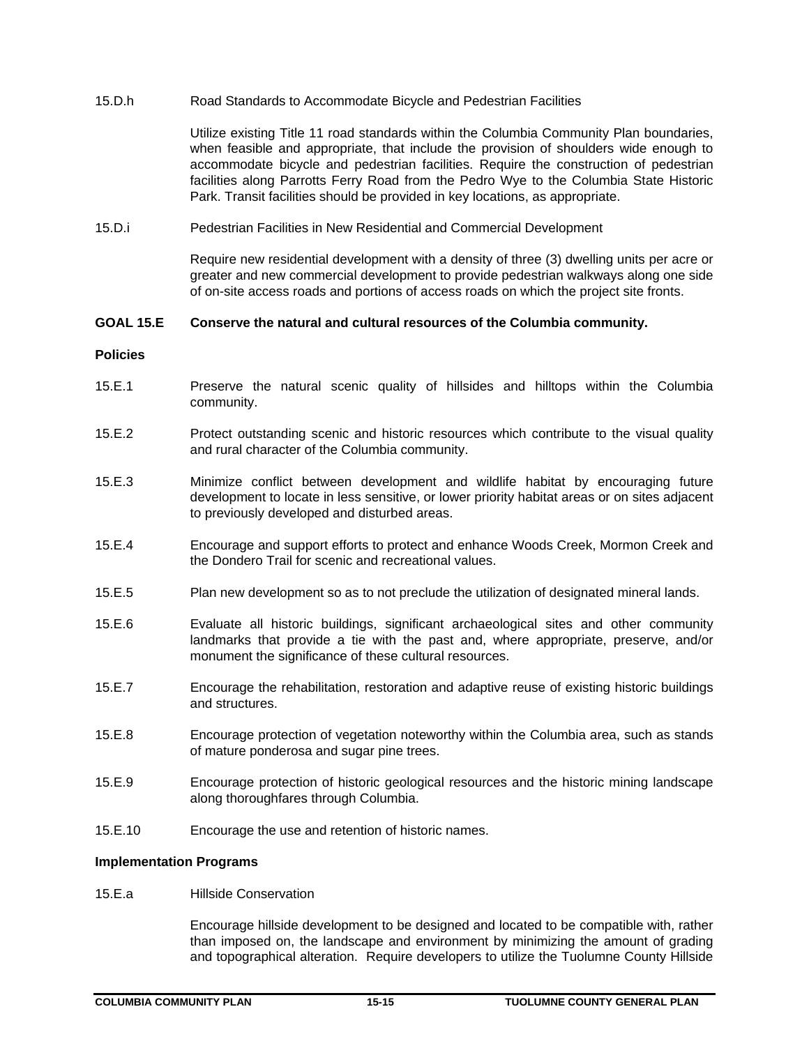15.D.h Road Standards to Accommodate Bicycle and Pedestrian Facilities

Utilize existing Title 11 road standards within the Columbia Community Plan boundaries, when feasible and appropriate, that include the provision of shoulders wide enough to accommodate bicycle and pedestrian facilities. Require the construction of pedestrian facilities along Parrotts Ferry Road from the Pedro Wye to the Columbia State Historic Park. Transit facilities should be provided in key locations, as appropriate.

15.D.i Pedestrian Facilities in New Residential and Commercial Development

Require new residential development with a density of three (3) dwelling units per acre or greater and new commercial development to provide pedestrian walkways along one side of on-site access roads and portions of access roads on which the project site fronts.

### **GOAL 15.E Conserve the natural and cultural resources of the Columbia community.**

#### **Policies**

- 15.E.1 Preserve the natural scenic quality of hillsides and hilltops within the Columbia community.
- 15.E.2 Protect outstanding scenic and historic resources which contribute to the visual quality and rural character of the Columbia community.
- 15.E.3 Minimize conflict between development and wildlife habitat by encouraging future development to locate in less sensitive, or lower priority habitat areas or on sites adjacent to previously developed and disturbed areas.
- 15.E.4 Encourage and support efforts to protect and enhance Woods Creek, Mormon Creek and the Dondero Trail for scenic and recreational values.
- 15.E.5 Plan new development so as to not preclude the utilization of designated mineral lands.
- 15.E.6 Evaluate all historic buildings, significant archaeological sites and other community landmarks that provide a tie with the past and, where appropriate, preserve, and/or monument the significance of these cultural resources.
- 15.E.7 Encourage the rehabilitation, restoration and adaptive reuse of existing historic buildings and structures.
- 15.E.8 Encourage protection of vegetation noteworthy within the Columbia area, such as stands of mature ponderosa and sugar pine trees.
- 15.E.9 Encourage protection of historic geological resources and the historic mining landscape along thoroughfares through Columbia.
- 15.E.10 Encourage the use and retention of historic names.

### **Implementation Programs**

15.E.a Hillside Conservation

Encourage hillside development to be designed and located to be compatible with, rather than imposed on, the landscape and environment by minimizing the amount of grading and topographical alteration. Require developers to utilize the Tuolumne County Hillside